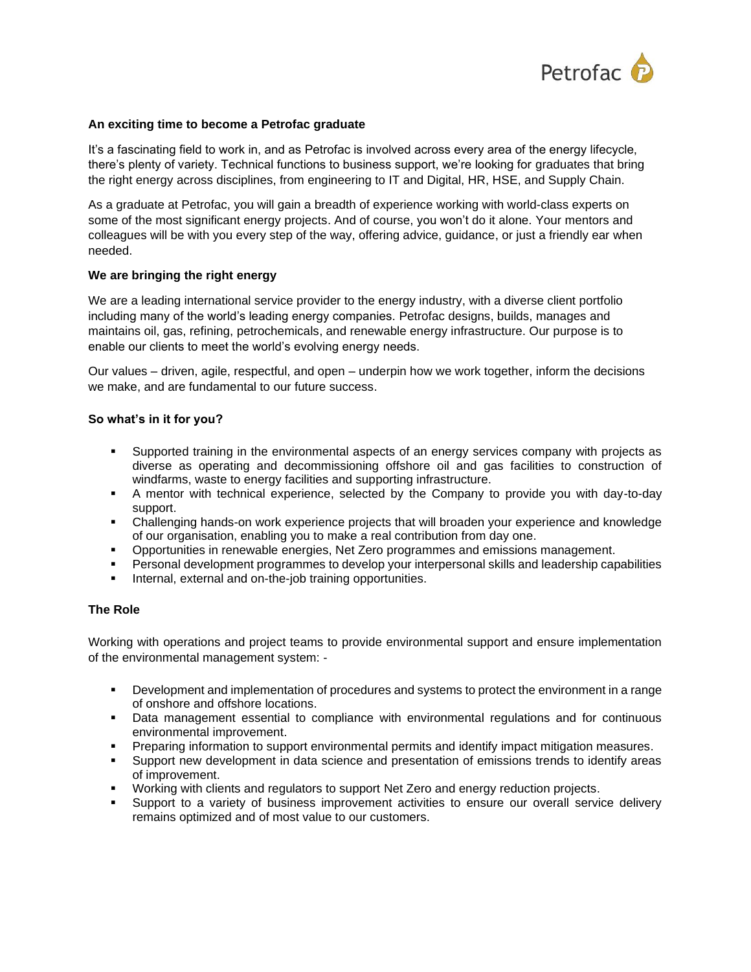

### **An exciting time to become a Petrofac graduate**

It's a fascinating field to work in, and as Petrofac is involved across every area of the energy lifecycle, there's plenty of variety. Technical functions to business support, we're looking for graduates that bring the right energy across disciplines, from engineering to IT and Digital, HR, HSE, and Supply Chain.

As a graduate at Petrofac, you will gain a breadth of experience working with world-class experts on some of the most significant energy projects. And of course, you won't do it alone. Your mentors and colleagues will be with you every step of the way, offering advice, guidance, or just a friendly ear when needed.

### **We are bringing the right energy**

We are a leading international service provider to the energy industry, with a diverse client portfolio including many of the world's leading energy companies. Petrofac designs, builds, manages and maintains oil, gas, refining, petrochemicals, and renewable energy infrastructure. Our purpose is to enable our clients to meet the world's evolving energy needs.

Our values – driven, agile, respectful, and open – underpin how we work together, inform the decisions we make, and are fundamental to our future success.

### **So what's in it for you?**

- Supported training in the environmental aspects of an energy services company with projects as diverse as operating and decommissioning offshore oil and gas facilities to construction of windfarms, waste to energy facilities and supporting infrastructure.
- A mentor with technical experience, selected by the Company to provide you with day-to-day support.
- Challenging hands-on work experience projects that will broaden your experience and knowledge of our organisation, enabling you to make a real contribution from day one.
- Opportunities in renewable energies, Net Zero programmes and emissions management.
- Personal development programmes to develop your interpersonal skills and leadership capabilities
- Internal, external and on-the-job training opportunities.

### **The Role**

Working with operations and project teams to provide environmental support and ensure implementation of the environmental management system: -

- **•** Development and implementation of procedures and systems to protect the environment in a range of onshore and offshore locations.
- **•** Data management essential to compliance with environmental regulations and for continuous environmental improvement.
- Preparing information to support environmental permits and identify impact mitigation measures.
- Support new development in data science and presentation of emissions trends to identify areas of improvement.
- Working with clients and regulators to support Net Zero and energy reduction projects.
- **EXECT Support to a variety of business improvement activities to ensure our overall service delivery** remains optimized and of most value to our customers.